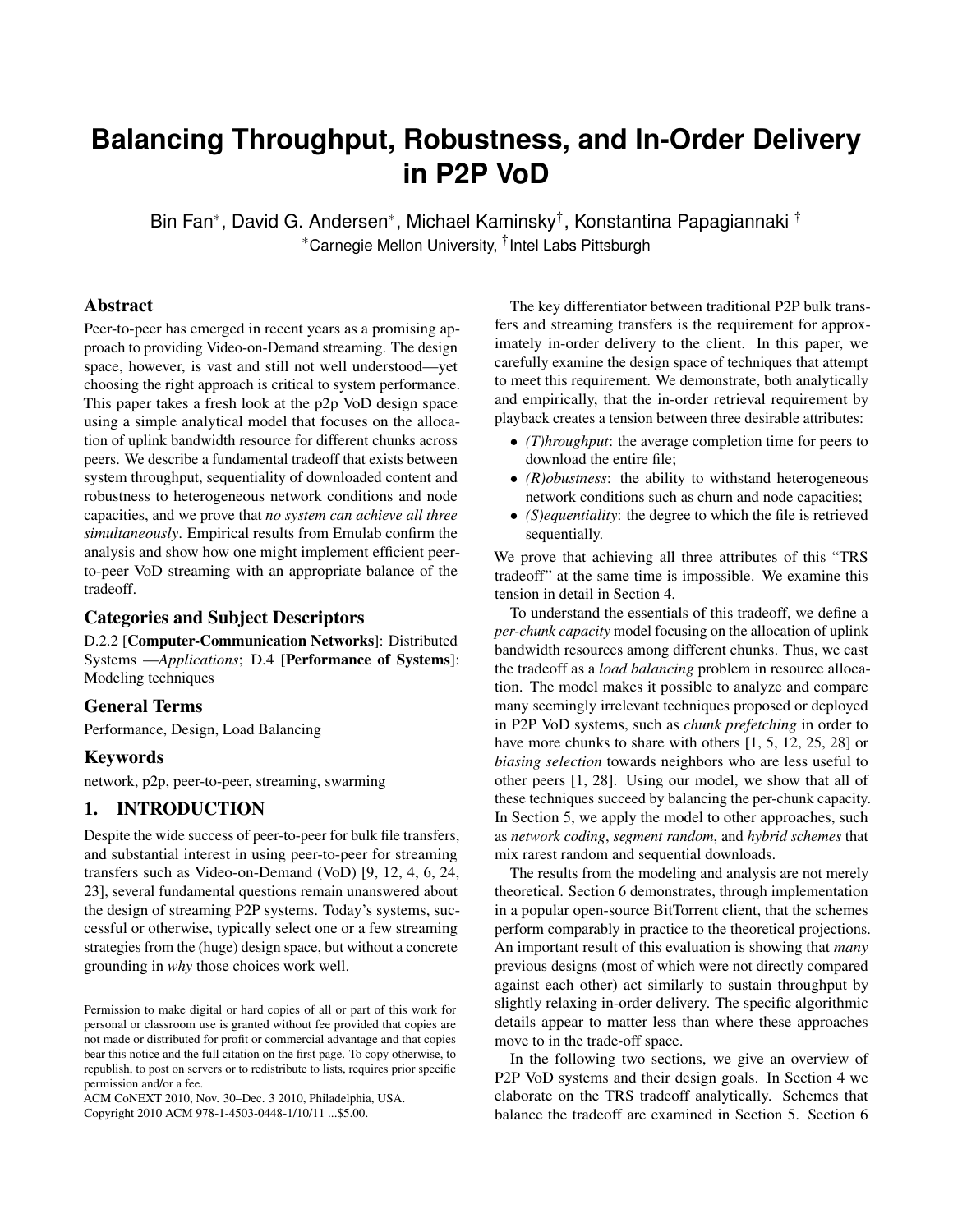# **Balancing Throughput, Robustness, and In-Order Delivery in P2P VoD**

Bin Fan<sup>∗</sup>, David G. Andersen<sup>∗</sup>, Michael Kaminsky<sup>†</sup>, Konstantina Papagiannaki <sup>†</sup> <sup>∗</sup>Carnegie Mellon University, † Intel Labs Pittsburgh

#### Abstract

Peer-to-peer has emerged in recent years as a promising approach to providing Video-on-Demand streaming. The design space, however, is vast and still not well understood—yet choosing the right approach is critical to system performance. This paper takes a fresh look at the p2p VoD design space using a simple analytical model that focuses on the allocation of uplink bandwidth resource for different chunks across peers. We describe a fundamental tradeoff that exists between system throughput, sequentiality of downloaded content and robustness to heterogeneous network conditions and node capacities, and we prove that *no system can achieve all three simultaneously*. Empirical results from Emulab confirm the analysis and show how one might implement efficient peerto-peer VoD streaming with an appropriate balance of the tradeoff.

# Categories and Subject Descriptors

D.2.2 [Computer-Communication Networks]: Distributed Systems —*Applications*; D.4 [Performance of Systems]: Modeling techniques

# General Terms

Performance, Design, Load Balancing

## Keywords

network, p2p, peer-to-peer, streaming, swarming

#### 1. INTRODUCTION

Despite the wide success of peer-to-peer for bulk file transfers, and substantial interest in using peer-to-peer for streaming transfers such as Video-on-Demand (VoD) [\[9,](#page-11-0) [12,](#page-11-1) [4,](#page-11-2) [6,](#page-11-3) [24,](#page-11-4) [23\]](#page-11-5), several fundamental questions remain unanswered about the design of streaming P2P systems. Today's systems, successful or otherwise, typically select one or a few streaming strategies from the (huge) design space, but without a concrete grounding in *why* those choices work well.

ACM CoNEXT 2010, Nov. 30–Dec. 3 2010, Philadelphia, USA. Copyright 2010 ACM 978-1-4503-0448-1/10/11 ...\$5.00.

The key differentiator between traditional P2P bulk transfers and streaming transfers is the requirement for approximately in-order delivery to the client. In this paper, we carefully examine the design space of techniques that attempt to meet this requirement. We demonstrate, both analytically and empirically, that the in-order retrieval requirement by playback creates a tension between three desirable attributes:

- *(T)hroughput*: the average completion time for peers to download the entire file;
- *(R)obustness*: the ability to withstand heterogeneous network conditions such as churn and node capacities;
- *(S)equentiality*: the degree to which the file is retrieved sequentially.

We prove that achieving all three attributes of this "TRS tradeoff" at the same time is impossible. We examine this tension in detail in Section [4.](#page-2-0)

To understand the essentials of this tradeoff, we define a *per-chunk capacity* model focusing on the allocation of uplink bandwidth resources among different chunks. Thus, we cast the tradeoff as a *load balancing* problem in resource allocation. The model makes it possible to analyze and compare many seemingly irrelevant techniques proposed or deployed in P2P VoD systems, such as *chunk prefetching* in order to have more chunks to share with others [\[1,](#page-11-6) [5,](#page-11-7) [12,](#page-11-1) [25,](#page-11-8) [28\]](#page-11-9) or *biasing selection* towards neighbors who are less useful to other peers [\[1,](#page-11-6) [28\]](#page-11-9). Using our model, we show that all of these techniques succeed by balancing the per-chunk capacity. In Section [5,](#page-6-0) we apply the model to other approaches, such as *network coding*, *segment random*, and *hybrid schemes* that mix rarest random and sequential downloads.

The results from the modeling and analysis are not merely theoretical. Section [6](#page-8-0) demonstrates, through implementation in a popular open-source BitTorrent client, that the schemes perform comparably in practice to the theoretical projections. An important result of this evaluation is showing that *many* previous designs (most of which were not directly compared against each other) act similarly to sustain throughput by slightly relaxing in-order delivery. The specific algorithmic details appear to matter less than where these approaches move to in the trade-off space.

In the following two sections, we give an overview of P2P VoD systems and their design goals. In Section [4](#page-2-0) we elaborate on the TRS tradeoff analytically. Schemes that balance the tradeoff are examined in Section [5.](#page-6-0) Section [6](#page-8-0)

Permission to make digital or hard copies of all or part of this work for personal or classroom use is granted without fee provided that copies are not made or distributed for profit or commercial advantage and that copies bear this notice and the full citation on the first page. To copy otherwise, to republish, to post on servers or to redistribute to lists, requires prior specific permission and/or a fee.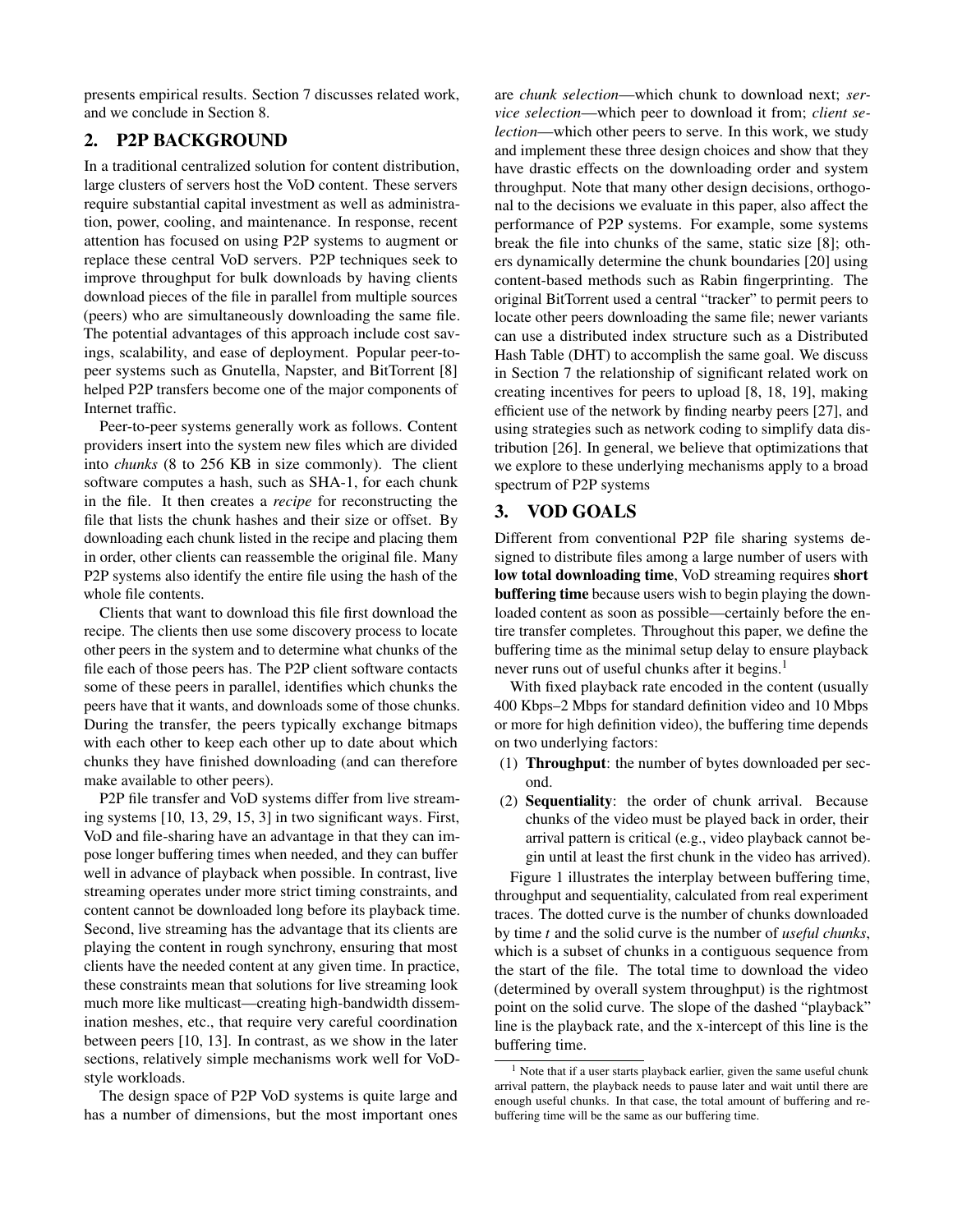presents empirical results. Section [7](#page-10-0) discusses related work, and we conclude in Section [8.](#page-11-10)

# <span id="page-1-1"></span>2. P2P BACKGROUND

In a traditional centralized solution for content distribution, large clusters of servers host the VoD content. These servers require substantial capital investment as well as administration, power, cooling, and maintenance. In response, recent attention has focused on using P2P systems to augment or replace these central VoD servers. P2P techniques seek to improve throughput for bulk downloads by having clients download pieces of the file in parallel from multiple sources (peers) who are simultaneously downloading the same file. The potential advantages of this approach include cost savings, scalability, and ease of deployment. Popular peer-topeer systems such as Gnutella, Napster, and BitTorrent [\[8\]](#page-11-11) helped P2P transfers become one of the major components of Internet traffic.

Peer-to-peer systems generally work as follows. Content providers insert into the system new files which are divided into *chunks* (8 to 256 KB in size commonly). The client software computes a hash, such as SHA-1, for each chunk in the file. It then creates a *recipe* for reconstructing the file that lists the chunk hashes and their size or offset. By downloading each chunk listed in the recipe and placing them in order, other clients can reassemble the original file. Many P2P systems also identify the entire file using the hash of the whole file contents.

Clients that want to download this file first download the recipe. The clients then use some discovery process to locate other peers in the system and to determine what chunks of the file each of those peers has. The P2P client software contacts some of these peers in parallel, identifies which chunks the peers have that it wants, and downloads some of those chunks. During the transfer, the peers typically exchange bitmaps with each other to keep each other up to date about which chunks they have finished downloading (and can therefore make available to other peers).

P2P file transfer and VoD systems differ from live streaming systems [\[10,](#page-11-12) [13,](#page-11-13) [29,](#page-11-14) [15,](#page-11-15) [3\]](#page-11-16) in two significant ways. First, VoD and file-sharing have an advantage in that they can impose longer buffering times when needed, and they can buffer well in advance of playback when possible. In contrast, live streaming operates under more strict timing constraints, and content cannot be downloaded long before its playback time. Second, live streaming has the advantage that its clients are playing the content in rough synchrony, ensuring that most clients have the needed content at any given time. In practice, these constraints mean that solutions for live streaming look much more like multicast—creating high-bandwidth dissemination meshes, etc., that require very careful coordination between peers [\[10,](#page-11-12) [13\]](#page-11-13). In contrast, as we show in the later sections, relatively simple mechanisms work well for VoDstyle workloads.

The design space of P2P VoD systems is quite large and has a number of dimensions, but the most important ones

are *chunk selection*—which chunk to download next; *service selection*—which peer to download it from; *client selection*—which other peers to serve. In this work, we study and implement these three design choices and show that they have drastic effects on the downloading order and system throughput. Note that many other design decisions, orthogonal to the decisions we evaluate in this paper, also affect the performance of P2P systems. For example, some systems break the file into chunks of the same, static size [\[8\]](#page-11-11); others dynamically determine the chunk boundaries [\[20\]](#page-11-17) using content-based methods such as Rabin fingerprinting. The original BitTorrent used a central "tracker" to permit peers to locate other peers downloading the same file; newer variants can use a distributed index structure such as a Distributed Hash Table (DHT) to accomplish the same goal. We discuss in Section [7](#page-10-0) the relationship of significant related work on creating incentives for peers to upload [\[8,](#page-11-11) [18,](#page-11-18) [19\]](#page-11-19), making efficient use of the network by finding nearby peers [\[27\]](#page-11-20), and using strategies such as network coding to simplify data distribution [\[26\]](#page-11-21). In general, we believe that optimizations that we explore to these underlying mechanisms apply to a broad spectrum of P2P systems

# 3. VOD GOALS

Different from conventional P2P file sharing systems designed to distribute files among a large number of users with low total downloading time, VoD streaming requires short buffering time because users wish to begin playing the downloaded content as soon as possible—certainly before the entire transfer completes. Throughout this paper, we define the buffering time as the minimal setup delay to ensure playback never runs out of useful chunks after it begins.<sup>[1](#page-1-0)</sup>

With fixed playback rate encoded in the content (usually 400 Kbps–2 Mbps for standard definition video and 10 Mbps or more for high definition video), the buffering time depends on two underlying factors:

- (1) Throughput: the number of bytes downloaded per second.
- (2) Sequentiality: the order of chunk arrival. Because chunks of the video must be played back in order, their arrival pattern is critical (e.g., video playback cannot begin until at least the first chunk in the video has arrived).

Figure [1](#page-2-1) illustrates the interplay between buffering time, throughput and sequentiality, calculated from real experiment traces. The dotted curve is the number of chunks downloaded by time *t* and the solid curve is the number of *useful chunks*, which is a subset of chunks in a contiguous sequence from the start of the file. The total time to download the video (determined by overall system throughput) is the rightmost point on the solid curve. The slope of the dashed "playback" line is the playback rate, and the x-intercept of this line is the buffering time.

<span id="page-1-0"></span><sup>&</sup>lt;sup>1</sup> Note that if a user starts playback earlier, given the same useful chunk arrival pattern, the playback needs to pause later and wait until there are enough useful chunks. In that case, the total amount of buffering and rebuffering time will be the same as our buffering time.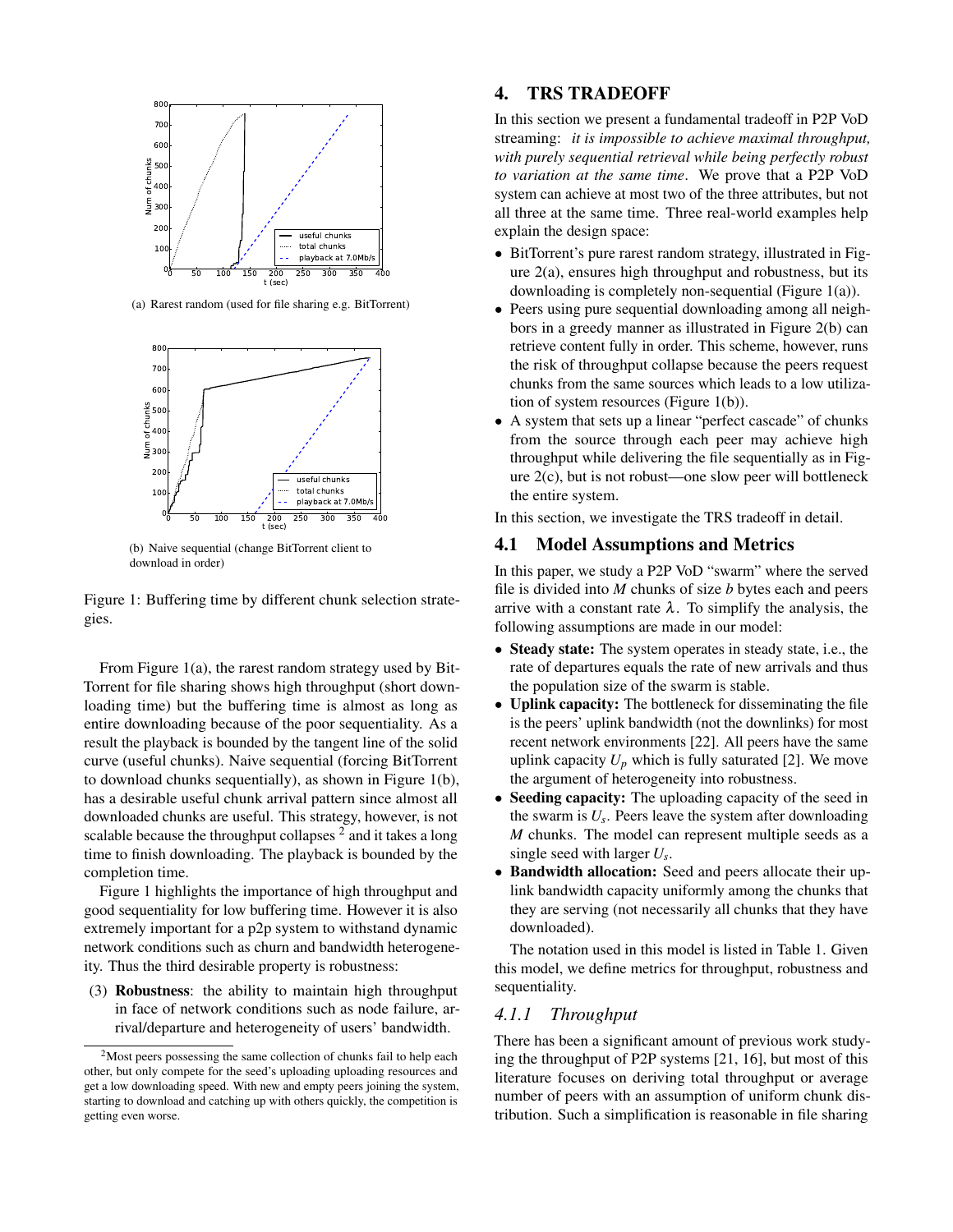<span id="page-2-2"></span>

<span id="page-2-3"></span>(a) Rarest random (used for file sharing e.g. BitTorrent)



(b) Naive sequential (change BitTorrent client to download in order)

Figure 1: Buffering time by different chunk selection strategies.

From Figure [1\(a\),](#page-2-2) the rarest random strategy used by Bit-Torrent for file sharing shows high throughput (short downloading time) but the buffering time is almost as long as entire downloading because of the poor sequentiality. As a result the playback is bounded by the tangent line of the solid curve (useful chunks). Naive sequential (forcing BitTorrent to download chunks sequentially), as shown in Figure [1\(b\),](#page-2-3) has a desirable useful chunk arrival pattern since almost all downloaded chunks are useful. This strategy, however, is not scalable because the throughput collapses  $^2$  $^2$  and it takes a long time to finish downloading. The playback is bounded by the completion time.

Figure [1](#page-2-1) highlights the importance of high throughput and good sequentiality for low buffering time. However it is also extremely important for a p2p system to withstand dynamic network conditions such as churn and bandwidth heterogeneity. Thus the third desirable property is robustness:

(3) Robustness: the ability to maintain high throughput in face of network conditions such as node failure, arrival/departure and heterogeneity of users' bandwidth.

# <span id="page-2-0"></span>4. TRS TRADEOFF

In this section we present a fundamental tradeoff in P2P VoD streaming: *it is impossible to achieve maximal throughput, with purely sequential retrieval while being perfectly robust to variation at the same time*. We prove that a P2P VoD system can achieve at most two of the three attributes, but not all three at the same time. Three real-world examples help explain the design space:

- BitTorrent's pure rarest random strategy, illustrated in Figure [2\(a\),](#page-3-0) ensures high throughput and robustness, but its downloading is completely non-sequential (Figure [1\(a\)\)](#page-2-2).
- Peers using pure sequential downloading among all neighbors in a greedy manner as illustrated in Figure [2\(b\)](#page-3-1) can retrieve content fully in order. This scheme, however, runs the risk of throughput collapse because the peers request chunks from the same sources which leads to a low utilization of system resources (Figure [1\(b\)\)](#page-2-3).
- A system that sets up a linear "perfect cascade" of chunks from the source through each peer may achieve high throughput while delivering the file sequentially as in Figure [2\(c\),](#page-3-2) but is not robust—one slow peer will bottleneck the entire system.

<span id="page-2-1"></span>In this section, we investigate the TRS tradeoff in detail.

#### 4.1 Model Assumptions and Metrics

In this paper, we study a P2P VoD "swarm" where the served file is divided into *M* chunks of size *b* bytes each and peers arrive with a constant rate  $\lambda$ . To simplify the analysis, the following assumptions are made in our model:

- Steady state: The system operates in steady state, i.e., the rate of departures equals the rate of new arrivals and thus the population size of the swarm is stable.
- Uplink capacity: The bottleneck for disseminating the file is the peers' uplink bandwidth (not the downlinks) for most recent network environments [\[22\]](#page-11-22). All peers have the same uplink capacity  $U_p$  which is fully saturated [\[2\]](#page-11-23). We move the argument of heterogeneity into robustness.
- Seeding capacity: The uploading capacity of the seed in the swarm is  $U_s$ . Peers leave the system after downloading *M* chunks. The model can represent multiple seeds as a single seed with larger *U<sup>s</sup>* .
- Bandwidth allocation: Seed and peers allocate their uplink bandwidth capacity uniformly among the chunks that they are serving (not necessarily all chunks that they have downloaded).

The notation used in this model is listed in Table [1.](#page-3-3) Given this model, we define metrics for throughput, robustness and sequentiality.

# *4.1.1 Throughput*

There has been a significant amount of previous work studying the throughput of P2P systems [\[21,](#page-11-24) [16\]](#page-11-25), but most of this literature focuses on deriving total throughput or average number of peers with an assumption of uniform chunk distribution. Such a simplification is reasonable in file sharing

<span id="page-2-4"></span><sup>&</sup>lt;sup>2</sup>Most peers possessing the same collection of chunks fail to help each other, but only compete for the seed's uploading uploading resources and get a low downloading speed. With new and empty peers joining the system, starting to download and catching up with others quickly, the competition is getting even worse.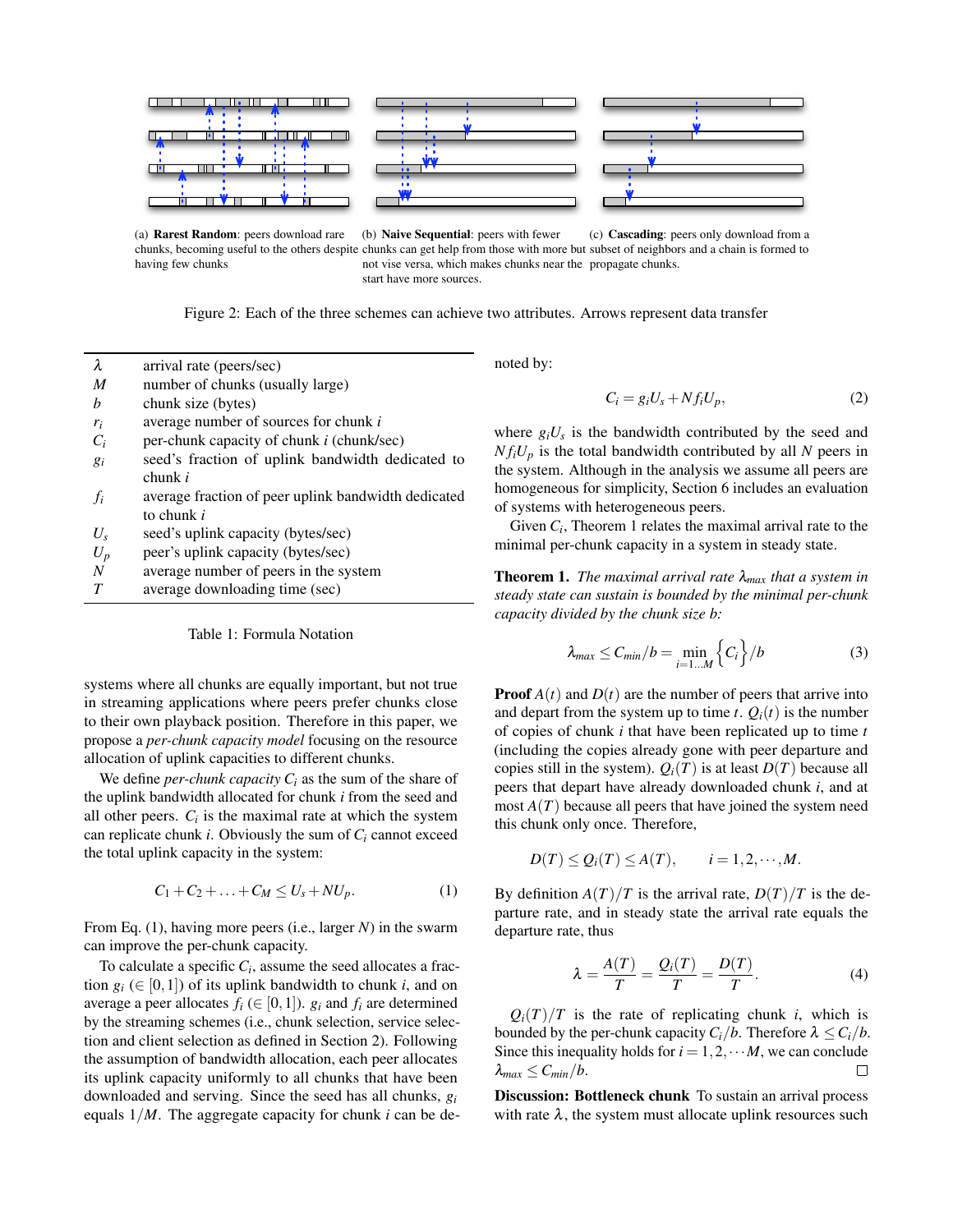<span id="page-3-0"></span>

<span id="page-3-1"></span>

<span id="page-3-2"></span>

(a) Rarest Random: peers download rare having few chunks

chunks, becoming useful to the others despite chunks can get help from those with more but subset of neighbors and a chain is formed to (b) Naive Sequential: peers with fewer not vise versa, which makes chunks near the propagate chunks. start have more sources. (c) Cascading: peers only download from a

|  |  |  | Figure 2: Each of the three schemes can achieve two attributes. Arrows represent data transfer |
|--|--|--|------------------------------------------------------------------------------------------------|
|  |  |  |                                                                                                |

| number of chunks (usually large)<br>M |  |
|---------------------------------------|--|
|                                       |  |
| chunk size (bytes)<br>b               |  |

- *r<sup>i</sup>* average number of sources for chunk *i*
- $C_i$  per-chunk capacity of chunk *i* (chunk/sec)
- *g<sup>i</sup>* seed's fraction of uplink bandwidth dedicated to chunk *i*
- *f<sup>i</sup>* average fraction of peer uplink bandwidth dedicated to chunk *i*
- $U_s$  seed's uplink capacity (bytes/sec)
- $U_p$  peer's uplink capacity (bytes/sec)
- *N* average number of peers in the system
- *T* average downloading time (sec)

<span id="page-3-3"></span>Table 1: Formula Notation

systems where all chunks are equally important, but not true in streaming applications where peers prefer chunks close to their own playback position. Therefore in this paper, we propose a *per-chunk capacity model* focusing on the resource allocation of uplink capacities to different chunks.

We define *per-chunk capacity*  $C_i$  as the sum of the share of the uplink bandwidth allocated for chunk *i* from the seed and all other peers.  $C_i$  is the maximal rate at which the system can replicate chunk  $i$ . Obviously the sum of  $C_i$  cannot exceed the total uplink capacity in the system:

<span id="page-3-4"></span>
$$
C_1 + C_2 + \ldots + C_M \le U_s + NU_p. \tag{1}
$$

From Eq. [\(1\)](#page-3-4), having more peers (i.e., larger *N*) in the swarm can improve the per-chunk capacity.

To calculate a specific *C<sup>i</sup>* , assume the seed allocates a fraction  $g_i$  ( $\in$  [0, 1]) of its uplink bandwidth to chunk *i*, and on average a peer allocates  $f_i \in [0,1]$ ).  $g_i$  and  $f_i$  are determined by the streaming schemes (i.e., chunk selection, service selection and client selection as defined in Section [2\)](#page-1-1). Following the assumption of bandwidth allocation, each peer allocates its uplink capacity uniformly to all chunks that have been downloaded and serving. Since the seed has all chunks, *g<sup>i</sup>* equals 1/*M*. The aggregate capacity for chunk *i* can be denoted by:

<span id="page-3-5"></span>
$$
C_i = g_i U_s + N f_i U_p,\tag{2}
$$

where  $g_iU_s$  is the bandwidth contributed by the seed and  $N f_i U_p$  is the total bandwidth contributed by all *N* peers in the system. Although in the analysis we assume all peers are homogeneous for simplicity, Section [6](#page-8-0) includes an evaluation of systems with heterogeneous peers.

Given  $C_i$ , Theorem 1 relates the maximal arrival rate to the minimal per-chunk capacity in a system in steady state.

<span id="page-3-6"></span>**Theorem 1.** *The maximal arrival rate*  $\lambda_{max}$  *that a system in steady state can sustain is bounded by the minimal per-chunk capacity divided by the chunk size b:*

$$
\lambda_{max} \le C_{min}/b = \min_{i=1...M} \left\{ C_i \right\} / b \tag{3}
$$

**Proof**  $A(t)$  and  $D(t)$  are the number of peers that arrive into and depart from the system up to time *t*.  $Q_i(t)$  is the number of copies of chunk *i* that have been replicated up to time *t* (including the copies already gone with peer departure and copies still in the system).  $Q_i(T)$  is at least  $D(T)$  because all peers that depart have already downloaded chunk *i*, and at most  $A(T)$  because all peers that have joined the system need this chunk only once. Therefore,

$$
D(T) \le Q_i(T) \le A(T), \qquad i = 1, 2, \cdots, M.
$$

By definition  $A(T)/T$  is the arrival rate,  $D(T)/T$  is the departure rate, and in steady state the arrival rate equals the departure rate, thus

$$
\lambda = \frac{A(T)}{T} = \frac{Q_i(T)}{T} = \frac{D(T)}{T}.
$$
\n(4)

 $Q_i(T)/T$  is the rate of replicating chunk *i*, which is bounded by the per-chunk capacity  $C_i/b$ . Therefore  $\lambda \leq C_i/b$ . Since this inequality holds for  $i = 1, 2, \cdots M$ , we can conclude  $\lambda_{max} \leq C_{min}/b$ . П

Discussion: Bottleneck chunk To sustain an arrival process with rate  $\lambda$ , the system must allocate uplink resources such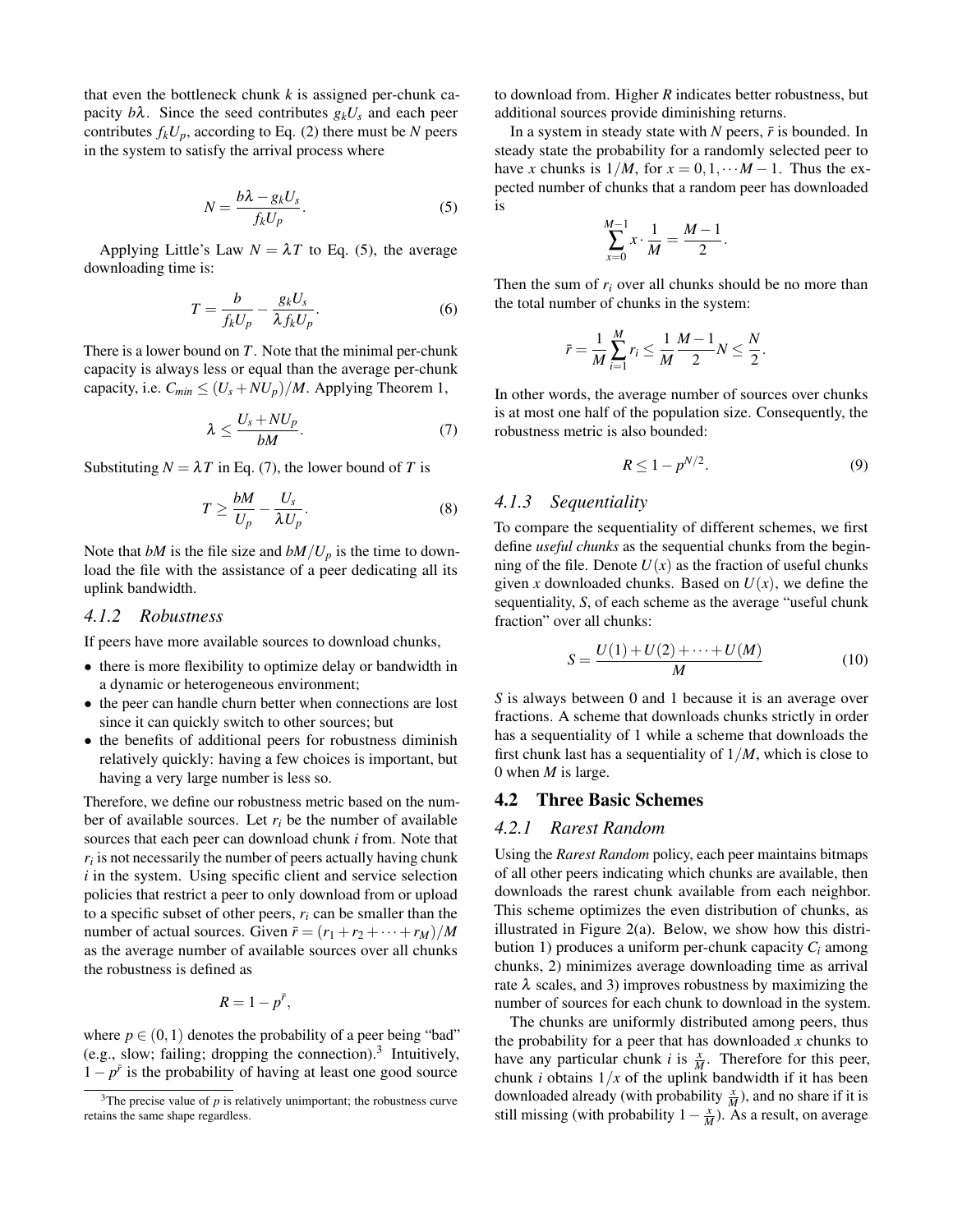that even the bottleneck chunk *k* is assigned per-chunk capacity  $b\lambda$ . Since the seed contributes  $g_k U_s$  and each peer contributes  $f_k U_p$ , according to Eq. [\(2\)](#page-3-5) there must be *N* peers in the system to satisfy the arrival process where

<span id="page-4-0"></span>
$$
N = \frac{b\lambda - g_k U_s}{f_k U_p}.
$$
\n(5)

Applying Little's Law  $N = \lambda T$  to Eq. [\(5\)](#page-4-0), the average downloading time is:

<span id="page-4-3"></span>
$$
T = \frac{b}{f_k U_p} - \frac{g_k U_s}{\lambda f_k U_p}.
$$
\n<sup>(6)</sup>

There is a lower bound on *T*. Note that the minimal per-chunk capacity is always less or equal than the average per-chunk capacity, i.e.  $C_{min} \leq (U_s + NU_p)/M$ . Applying Theorem [1,](#page-3-6)

<span id="page-4-1"></span>
$$
\lambda \le \frac{U_s + N U_p}{bM}.\tag{7}
$$

Substituting  $N = \lambda T$  in Eq. [\(7\)](#page-4-1), the lower bound of T is

<span id="page-4-4"></span>
$$
T \ge \frac{bM}{U_p} - \frac{U_s}{\lambda U_p}.\tag{8}
$$

Note that *bM* is the file size and  $bM/U_p$  is the time to download the file with the assistance of a peer dedicating all its uplink bandwidth.

# *4.1.2 Robustness*

If peers have more available sources to download chunks,

- there is more flexibility to optimize delay or bandwidth in a dynamic or heterogeneous environment;
- the peer can handle churn better when connections are lost since it can quickly switch to other sources; but
- the benefits of additional peers for robustness diminish relatively quickly: having a few choices is important, but having a very large number is less so.

Therefore, we define our robustness metric based on the number of available sources. Let  $r_i$  be the number of available sources that each peer can download chunk *i* from. Note that  $r_i$  is not necessarily the number of peers actually having chunk *i* in the system. Using specific client and service selection policies that restrict a peer to only download from or upload to a specific subset of other peers,  $r_i$  can be smaller than the number of actual sources. Given  $\bar{r} = (r_1 + r_2 + \cdots + r_M)/M$ as the average number of available sources over all chunks the robustness is defined as

$$
R=1-p^{\bar{r}},
$$

where  $p \in (0,1)$  denotes the probability of a peer being "bad" (e.g., slow; failing; dropping the connection). $3$  Intuitively,  $1 - p^{\bar{r}}$  is the probability of having at least one good source

to download from. Higher *R* indicates better robustness, but additional sources provide diminishing returns.

In a system in steady state with  $N$  peers,  $\bar{r}$  is bounded. In steady state the probability for a randomly selected peer to have *x* chunks is  $1/M$ , for  $x = 0, 1, \dots M - 1$ . Thus the expected number of chunks that a random peer has downloaded is

$$
\sum_{x=0}^{M-1} x \cdot \frac{1}{M} = \frac{M-1}{2}.
$$

Then the sum of  $r_i$  over all chunks should be no more than the total number of chunks in the system:

$$
\bar{r} = \frac{1}{M} \sum_{i=1}^{M} r_i \le \frac{1}{M} \frac{M-1}{2} N \le \frac{N}{2}.
$$

In other words, the average number of sources over chunks is at most one half of the population size. Consequently, the robustness metric is also bounded:

<span id="page-4-5"></span>
$$
R \le 1 - p^{N/2}.\tag{9}
$$

#### *4.1.3 Sequentiality*

To compare the sequentiality of different schemes, we first define *useful chunks* as the sequential chunks from the beginning of the file. Denote  $U(x)$  as the fraction of useful chunks given *x* downloaded chunks. Based on  $U(x)$ , we define the sequentiality, *S*, of each scheme as the average "useful chunk fraction" over all chunks:

<span id="page-4-6"></span>
$$
S = \frac{U(1) + U(2) + \dots + U(M)}{M}
$$
 (10)

*S* is always between 0 and 1 because it is an average over fractions. A scheme that downloads chunks strictly in order has a sequentiality of 1 while a scheme that downloads the first chunk last has a sequentiality of 1/*M*, which is close to 0 when *M* is large.

#### 4.2 Three Basic Schemes

#### *4.2.1 Rarest Random*

Using the *Rarest Random* policy, each peer maintains bitmaps of all other peers indicating which chunks are available, then downloads the rarest chunk available from each neighbor. This scheme optimizes the even distribution of chunks, as illustrated in Figure [2\(a\).](#page-3-0) Below, we show how this distribution 1) produces a uniform per-chunk capacity *C<sup>i</sup>* among chunks, 2) minimizes average downloading time as arrival rate  $\lambda$  scales, and 3) improves robustness by maximizing the number of sources for each chunk to download in the system.

The chunks are uniformly distributed among peers, thus the probability for a peer that has downloaded *x* chunks to have any particular chunk *i* is  $\frac{x}{M}$ . Therefore for this peer, chunk *i* obtains  $1/x$  of the uplink bandwidth if it has been downloaded already (with probability  $\frac{x}{M}$ ), and no share if it is still missing (with probability  $1 - \frac{x}{M}$ ). As a result, on average

<span id="page-4-2"></span><sup>&</sup>lt;sup>3</sup>The precise value of  $p$  is relatively unimportant; the robustness curve retains the same shape regardless.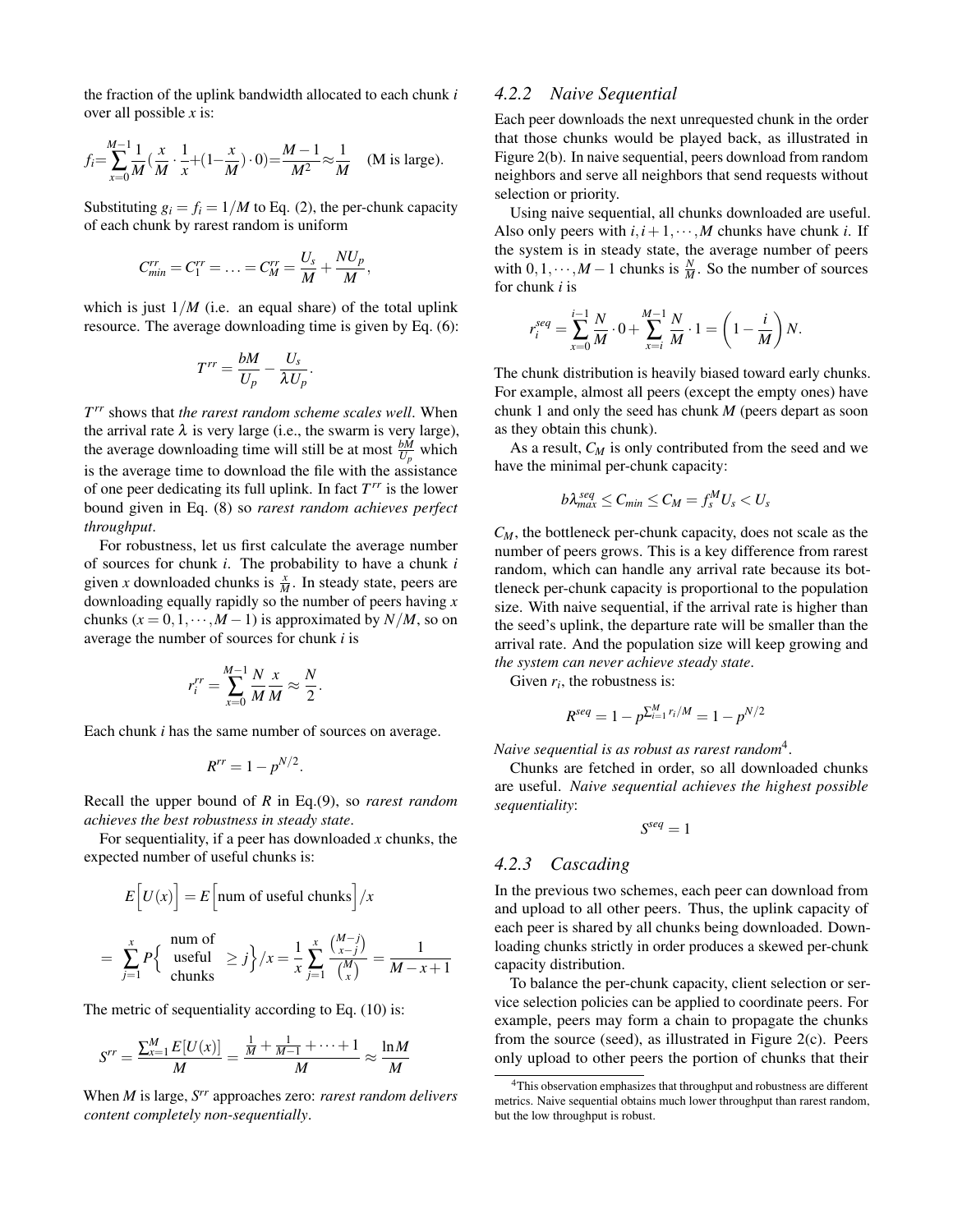the fraction of the uplink bandwidth allocated to each chunk *i* over all possible *x* is:

$$
f_i = \sum_{x=0}^{M-1} \frac{1}{M} \left( \frac{x}{M} \cdot \frac{1}{x} + (1 - \frac{x}{M}) \cdot 0 \right) = \frac{M-1}{M^2} \approx \frac{1}{M} \quad \text{(M is large)}.
$$

Substituting  $g_i = f_i = 1/M$  to Eq. [\(2\)](#page-3-5), the per-chunk capacity of each chunk by rarest random is uniform

$$
C_{min}^{rr} = C_1^{rr} = \ldots = C_M^{rr} = \frac{U_s}{M} + \frac{NU_p}{M},
$$

which is just  $1/M$  (i.e. an equal share) of the total uplink resource. The average downloading time is given by Eq. [\(6\)](#page-4-3):

$$
T^{rr} = \frac{bM}{U_p} - \frac{U_s}{\lambda U_p}.
$$

*T rr* shows that *the rarest random scheme scales well*. When the arrival rate  $\lambda$  is very large (i.e., the swarm is very large), the average downloading time will still be at most  $\frac{bM}{U_p}$  which is the average time to download the file with the assistance of one peer dedicating its full uplink. In fact *T rr* is the lower bound given in Eq. [\(8\)](#page-4-4) so *rarest random achieves perfect throughput*.

For robustness, let us first calculate the average number of sources for chunk *i*. The probability to have a chunk *i* given *x* downloaded chunks is  $\frac{x}{M}$ . In steady state, peers are downloading equally rapidly so the number of peers having *x* chunks  $(x = 0, 1, \dots, M - 1)$  is approximated by  $N/M$ , so on average the number of sources for chunk *i* is

$$
r_i^{rr} = \sum_{x=0}^{M-1} \frac{N}{M} \frac{x}{M} \approx \frac{N}{2}.
$$

Each chunk *i* has the same number of sources on average.

$$
R^{rr}=1-p^{N/2}.
$$

Recall the upper bound of *R* in Eq.[\(9\)](#page-4-5), so *rarest random achieves the best robustness in steady state*.

For sequentiality, if a peer has downloaded *x* chunks, the expected number of useful chunks is:

$$
E[U(x)] = E\left[\text{num of useful chunks}\right] / x
$$
  
=  $\sum_{j=1}^{x} P\left\{\begin{array}{l}\text{num of} \\ \text{useful} \\ \text{chunks}\end{array}\ge j\right\} / x = \frac{1}{x} \sum_{j=1}^{x} \frac{\binom{M-j}{x-j}}{\binom{M}{x}} = \frac{1}{M-x+1}$ 

The metric of sequentiality according to Eq. [\(10\)](#page-4-6) is:

$$
S^{rr} = \frac{\sum_{x=1}^{M} E[U(x)]}{M} = \frac{\frac{1}{M} + \frac{1}{M-1} + \dots + 1}{M} \approx \frac{\ln M}{M}
$$

When *M* is large, *S rr* approaches zero: *rarest random delivers content completely non-sequentially*.

# *4.2.2 Naive Sequential*

Each peer downloads the next unrequested chunk in the order that those chunks would be played back, as illustrated in Figure [2\(b\).](#page-3-1) In naive sequential, peers download from random neighbors and serve all neighbors that send requests without selection or priority.

Using naive sequential, all chunks downloaded are useful. Also only peers with  $i, i+1, \dots, M$  chunks have chunk *i*. If the system is in steady state, the average number of peers with  $0, 1, \dots, M-1$  chunks is  $\frac{N}{M}$ . So the number of sources for chunk *i* is

$$
r_i^{seq} = \sum_{x=0}^{i-1} \frac{N}{M} \cdot 0 + \sum_{x=i}^{M-1} \frac{N}{M} \cdot 1 = \left(1 - \frac{i}{M}\right)N.
$$

The chunk distribution is heavily biased toward early chunks. For example, almost all peers (except the empty ones) have chunk 1 and only the seed has chunk *M* (peers depart as soon as they obtain this chunk).

As a result, *C<sup>M</sup>* is only contributed from the seed and we have the minimal per-chunk capacity:

$$
b \lambda_{max}^{seq} \leq C_{min} \leq C_M = f_s^M U_s < U_s
$$

*CM*, the bottleneck per-chunk capacity, does not scale as the number of peers grows. This is a key difference from rarest random, which can handle any arrival rate because its bottleneck per-chunk capacity is proportional to the population size. With naive sequential, if the arrival rate is higher than the seed's uplink, the departure rate will be smaller than the arrival rate. And the population size will keep growing and *the system can never achieve steady state*.

Given  $r_i$ , the robustness is:

$$
R^{seq} = 1 - p^{\sum_{i=1}^{M} r_i/M} = 1 - p^{N/2}
$$

*Naive sequential is as robust as rarest random*[4](#page-5-0) .

Chunks are fetched in order, so all downloaded chunks are useful. *Naive sequential achieves the highest possible sequentiality*:

$$
S^{seq}=1
$$

# *4.2.3 Cascading*

In the previous two schemes, each peer can download from and upload to all other peers. Thus, the uplink capacity of each peer is shared by all chunks being downloaded. Downloading chunks strictly in order produces a skewed per-chunk capacity distribution.

To balance the per-chunk capacity, client selection or service selection policies can be applied to coordinate peers. For example, peers may form a chain to propagate the chunks from the source (seed), as illustrated in Figure [2\(c\).](#page-3-2) Peers only upload to other peers the portion of chunks that their

<span id="page-5-0"></span><sup>&</sup>lt;sup>4</sup>This observation emphasizes that throughput and robustness are different metrics. Naive sequential obtains much lower throughput than rarest random, but the low throughput is robust.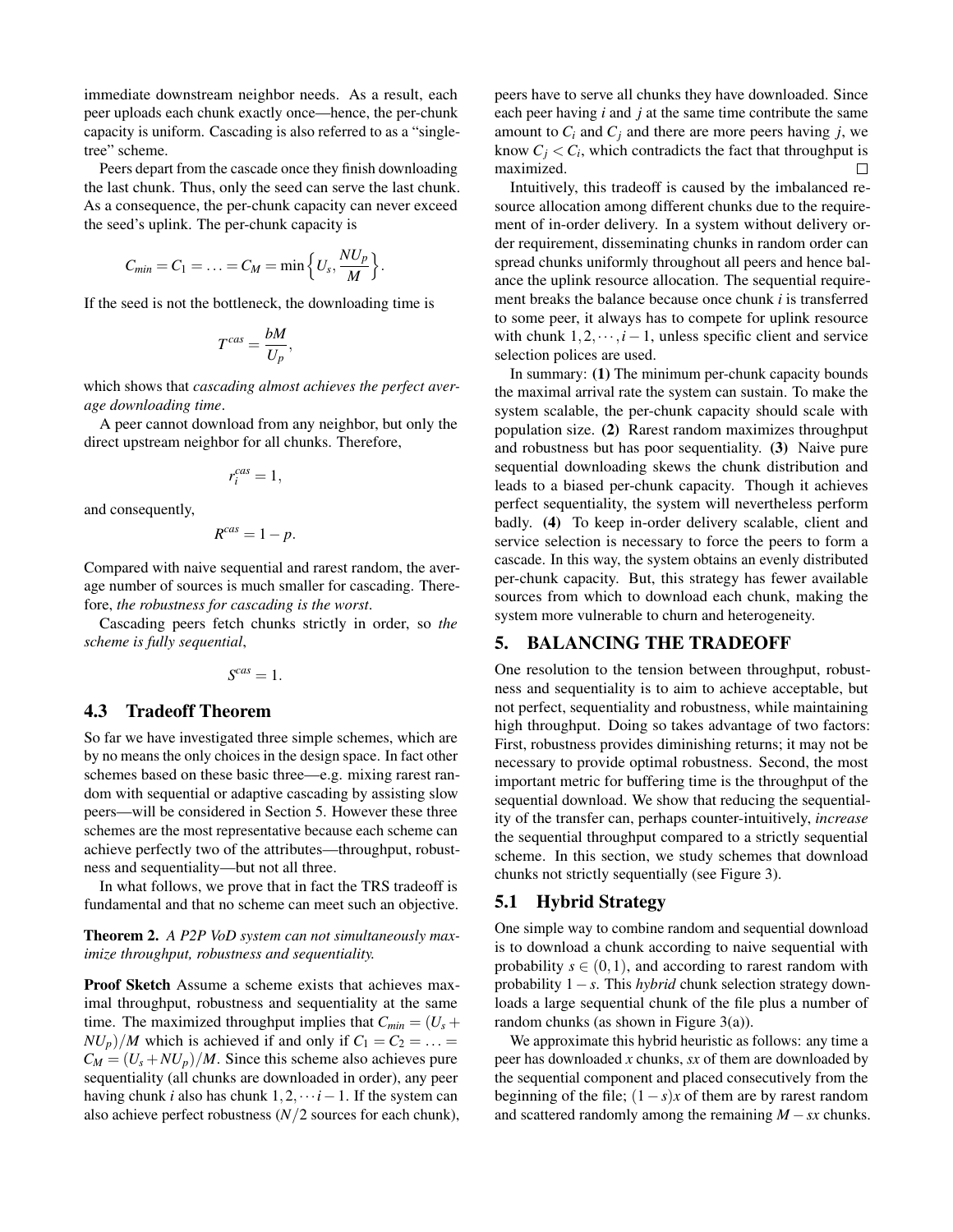immediate downstream neighbor needs. As a result, each peer uploads each chunk exactly once—hence, the per-chunk capacity is uniform. Cascading is also referred to as a "singletree" scheme.

Peers depart from the cascade once they finish downloading the last chunk. Thus, only the seed can serve the last chunk. As a consequence, the per-chunk capacity can never exceed the seed's uplink. The per-chunk capacity is

$$
C_{min}=C_1=\ldots=C_M=\min\Big\{U_s,\frac{NU_p}{M}\Big\}.
$$

If the seed is not the bottleneck, the downloading time is

$$
T^{cas} = \frac{bM}{U_p},
$$

which shows that *cascading almost achieves the perfect average downloading time*.

A peer cannot download from any neighbor, but only the direct upstream neighbor for all chunks. Therefore,

$$
r_i^{cas}=1,
$$

and consequently,

$$
R^{cas}=1-p.
$$

Compared with naive sequential and rarest random, the average number of sources is much smaller for cascading. Therefore, *the robustness for cascading is the worst*.

Cascading peers fetch chunks strictly in order, so *the scheme is fully sequential*,

$$
S^{cas}=1.
$$

#### 4.3 Tradeoff Theorem

So far we have investigated three simple schemes, which are by no means the only choices in the design space. In fact other schemes based on these basic three—e.g. mixing rarest random with sequential or adaptive cascading by assisting slow peers—will be considered in Section [5.](#page-6-0) However these three schemes are the most representative because each scheme can achieve perfectly two of the attributes—throughput, robustness and sequentiality—but not all three.

In what follows, we prove that in fact the TRS tradeoff is fundamental and that no scheme can meet such an objective.

Theorem 2. *A P2P VoD system can not simultaneously maximize throughput, robustness and sequentiality.*

Proof Sketch Assume a scheme exists that achieves maximal throughput, robustness and sequentiality at the same time. The maximized throughput implies that  $C_{min} = (U_s +$ *<i>M* which is achieved if and only if  $C_1 = C_2 = ... =$  $C_M = (U_s + NU_p)/M$ . Since this scheme also achieves pure sequentiality (all chunks are downloaded in order), any peer having chunk *i* also has chunk  $1, 2, \cdots i-1$ . If the system can also achieve perfect robustness (*N*/2 sources for each chunk), peers have to serve all chunks they have downloaded. Since each peer having *i* and *j* at the same time contribute the same amount to  $C_i$  and  $C_j$  and there are more peers having *j*, we know  $C_j < C_i$ , which contradicts the fact that throughput is maximized.  $\Box$ 

Intuitively, this tradeoff is caused by the imbalanced resource allocation among different chunks due to the requirement of in-order delivery. In a system without delivery order requirement, disseminating chunks in random order can spread chunks uniformly throughout all peers and hence balance the uplink resource allocation. The sequential requirement breaks the balance because once chunk *i* is transferred to some peer, it always has to compete for uplink resource with chunk  $1, 2, \dots, i - 1$ , unless specific client and service selection polices are used.

In summary: (1) The minimum per-chunk capacity bounds the maximal arrival rate the system can sustain. To make the system scalable, the per-chunk capacity should scale with population size. (2) Rarest random maximizes throughput and robustness but has poor sequentiality. (3) Naive pure sequential downloading skews the chunk distribution and leads to a biased per-chunk capacity. Though it achieves perfect sequentiality, the system will nevertheless perform badly. (4) To keep in-order delivery scalable, client and service selection is necessary to force the peers to form a cascade. In this way, the system obtains an evenly distributed per-chunk capacity. But, this strategy has fewer available sources from which to download each chunk, making the system more vulnerable to churn and heterogeneity.

# <span id="page-6-0"></span>5. BALANCING THE TRADEOFF

One resolution to the tension between throughput, robustness and sequentiality is to aim to achieve acceptable, but not perfect, sequentiality and robustness, while maintaining high throughput. Doing so takes advantage of two factors: First, robustness provides diminishing returns; it may not be necessary to provide optimal robustness. Second, the most important metric for buffering time is the throughput of the sequential download. We show that reducing the sequentiality of the transfer can, perhaps counter-intuitively, *increase* the sequential throughput compared to a strictly sequential scheme. In this section, we study schemes that download chunks not strictly sequentially (see Figure [3\)](#page-7-0).

# 5.1 Hybrid Strategy

One simple way to combine random and sequential download is to download a chunk according to naive sequential with probability  $s \in (0,1)$ , and according to rarest random with probability 1−*s*. This *hybrid* chunk selection strategy downloads a large sequential chunk of the file plus a number of random chunks (as shown in Figure [3\(a\)\)](#page-7-1).

We approximate this hybrid heuristic as follows: any time a peer has downloaded *x* chunks, *sx* of them are downloaded by the sequential component and placed consecutively from the beginning of the file;  $(1-s)x$  of them are by rarest random and scattered randomly among the remaining  $M - sx$  chunks.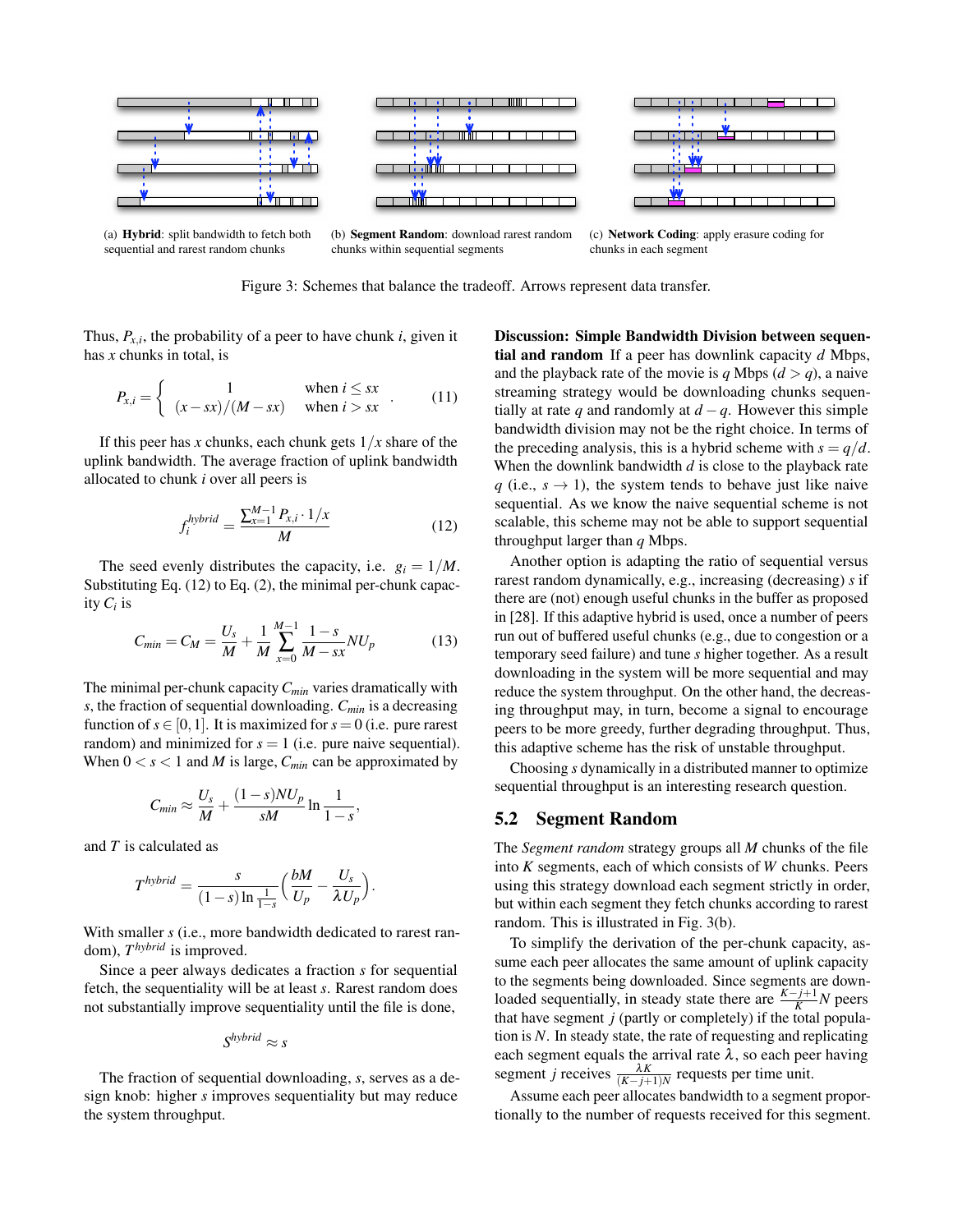<span id="page-7-1"></span>

(a) Hybrid: split bandwidth to fetch both sequential and rarest random chunks

<span id="page-7-3"></span>(b) Segment Random: download rarest random chunks within sequential segments

<span id="page-7-0"></span>(c) Network Coding: apply erasure coding for chunks in each segment

Figure 3: Schemes that balance the tradeoff. Arrows represent data transfer.

Thus,  $P_{x,i}$ , the probability of a peer to have chunk *i*, given it has *x* chunks in total, is

$$
P_{x,i} = \begin{cases} 1 & \text{when } i \le sx \\ (x - sx)/(M - sx) & \text{when } i > sx \end{cases} . \tag{11}
$$

If this peer has *x* chunks, each chunk gets  $1/x$  share of the uplink bandwidth. The average fraction of uplink bandwidth allocated to chunk *i* over all peers is

<span id="page-7-2"></span>
$$
f_i^{hybrid} = \frac{\sum_{x=1}^{M-1} P_{x,i} \cdot 1/x}{M} \tag{12}
$$

The seed evenly distributes the capacity, i.e.  $g_i = 1/M$ . Substituting Eq. [\(12\)](#page-7-2) to Eq. [\(2\)](#page-3-5), the minimal per-chunk capacity *C<sup>i</sup>* is

$$
C_{min} = C_M = \frac{U_s}{M} + \frac{1}{M} \sum_{x=0}^{M-1} \frac{1-s}{M-sx} N U_p \tag{13}
$$

The minimal per-chunk capacity*Cmin* varies dramatically with *s*, the fraction of sequential downloading. *Cmin* is a decreasing function of  $s \in [0,1]$ . It is maximized for  $s = 0$  (i.e. pure rarest random) and minimized for  $s = 1$  (i.e. pure naive sequential). When  $0 < s < 1$  and *M* is large,  $C_{min}$  can be approximated by

$$
C_{min} \approx \frac{U_s}{M} + \frac{(1-s)NU_p}{sM} \ln \frac{1}{1-s},
$$

and *T* is calculated as

$$
T^{hybrid} = \frac{s}{(1-s)\ln\frac{1}{1-s}} \Big(\frac{bM}{U_p} - \frac{U_s}{\lambda U_p}\Big).
$$

With smaller *s* (i.e., more bandwidth dedicated to rarest random), *T hybrid* is improved.

Since a peer always dedicates a fraction *s* for sequential fetch, the sequentiality will be at least *s*. Rarest random does not substantially improve sequentiality until the file is done,

$$
S^{hybrid} \approx s
$$

The fraction of sequential downloading, *s*, serves as a design knob: higher *s* improves sequentiality but may reduce the system throughput.

Discussion: Simple Bandwidth Division between sequential and random If a peer has downlink capacity *d* Mbps, and the playback rate of the movie is *q* Mbps  $(d > q)$ , a naive streaming strategy would be downloading chunks sequentially at rate *q* and randomly at  $d - q$ . However this simple bandwidth division may not be the right choice. In terms of the preceding analysis, this is a hybrid scheme with  $s = q/d$ . When the downlink bandwidth *d* is close to the playback rate *q* (i.e.,  $s \rightarrow 1$ ), the system tends to behave just like naive sequential. As we know the naive sequential scheme is not scalable, this scheme may not be able to support sequential throughput larger than *q* Mbps.

Another option is adapting the ratio of sequential versus rarest random dynamically, e.g., increasing (decreasing) *s* if there are (not) enough useful chunks in the buffer as proposed in [\[28\]](#page-11-9). If this adaptive hybrid is used, once a number of peers run out of buffered useful chunks (e.g., due to congestion or a temporary seed failure) and tune *s* higher together. As a result downloading in the system will be more sequential and may reduce the system throughput. On the other hand, the decreasing throughput may, in turn, become a signal to encourage peers to be more greedy, further degrading throughput. Thus, this adaptive scheme has the risk of unstable throughput.

Choosing *s* dynamically in a distributed manner to optimize sequential throughput is an interesting research question.

#### 5.2 Segment Random

The *Segment random* strategy groups all *M* chunks of the file into *K* segments, each of which consists of *W* chunks. Peers using this strategy download each segment strictly in order, but within each segment they fetch chunks according to rarest random. This is illustrated in Fig. [3\(b\).](#page-7-3)

To simplify the derivation of the per-chunk capacity, assume each peer allocates the same amount of uplink capacity to the segments being downloaded. Since segments are downloaded sequentially, in steady state there are  $\frac{K-j+1}{K}N$  peers that have segment *j* (partly or completely) if the total population is *N*. In steady state, the rate of requesting and replicating each segment equals the arrival rate  $\lambda$ , so each peer having segment *j* receives  $\frac{\lambda K}{(K-j+1)N}$  requests per time unit.

Assume each peer allocates bandwidth to a segment proportionally to the number of requests received for this segment.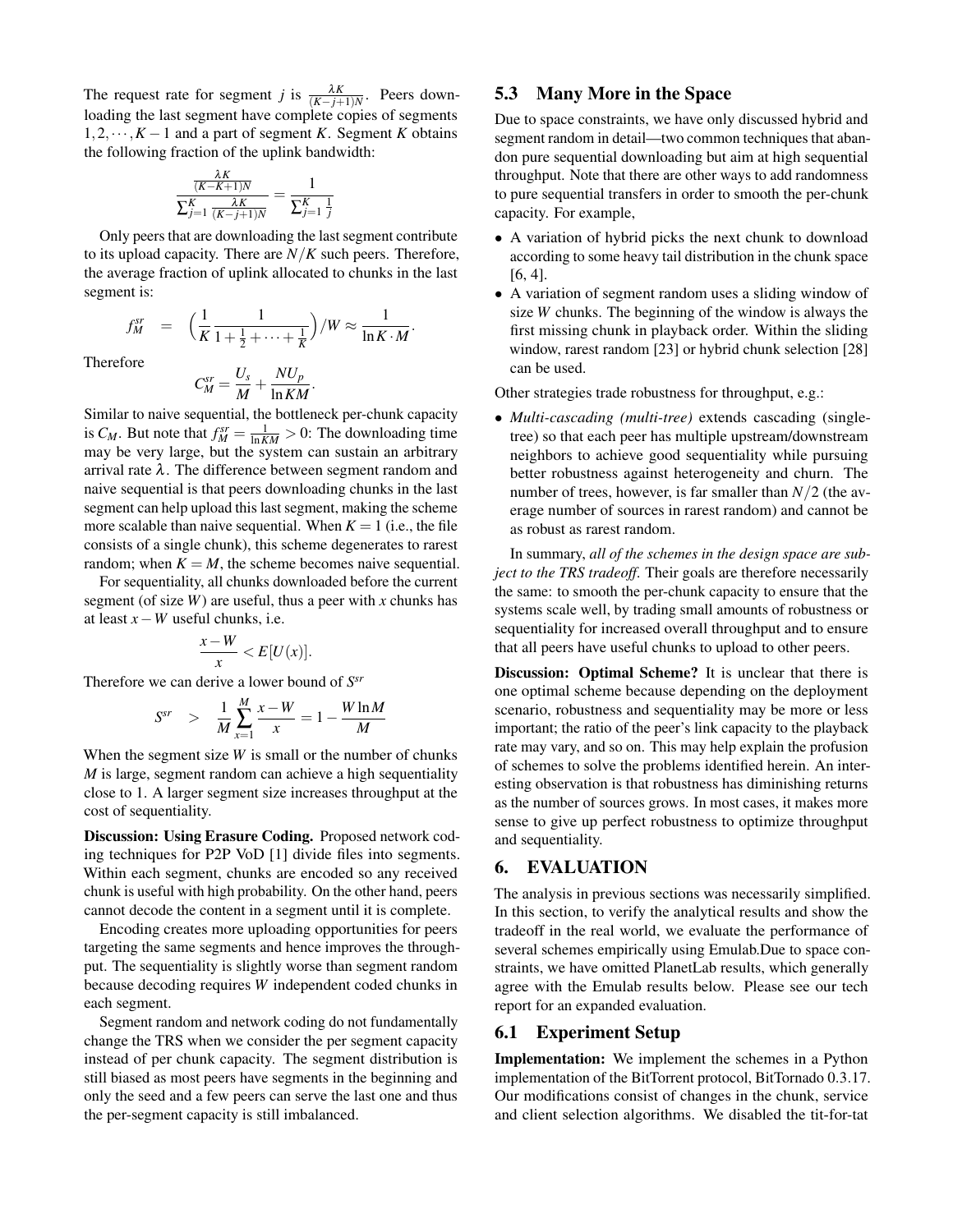The request rate for segment *j* is  $\frac{\lambda K}{(K-j+1)N}$ . Peers downloading the last segment have complete copies of segments  $1, 2, \dots, K-1$  and a part of segment *K*. Segment *K* obtains the following fraction of the uplink bandwidth:

$$
\frac{\frac{\lambda K}{(K-K+1)N}}{\sum_{j=1}^{K} \frac{\lambda K}{(K-j+1)N}} = \frac{1}{\sum_{j=1}^{K} \frac{1}{j}}
$$

Only peers that are downloading the last segment contribute to its upload capacity. There are *N*/*K* such peers. Therefore, the average fraction of uplink allocated to chunks in the last segment is:

$$
f_M^{sr} = \left(\frac{1}{K} \frac{1}{1 + \frac{1}{2} + \cdots + \frac{1}{K}}\right) / W \approx \frac{1}{\ln K \cdot M}.
$$

Therefore

$$
C_M^{sr} = \frac{U_s}{M} + \frac{NU_p}{\ln KM}.
$$

Similar to naive sequential, the bottleneck per-chunk capacity is *C<sub>M</sub>*. But note that  $f_M^{sr} = \frac{1}{\ln KM} > 0$ : The downloading time may be very large, but the system can sustain an arbitrary arrival rate  $\lambda$ . The difference between segment random and naive sequential is that peers downloading chunks in the last segment can help upload this last segment, making the scheme more scalable than naive sequential. When  $K = 1$  (i.e., the file consists of a single chunk), this scheme degenerates to rarest random; when  $K = M$ , the scheme becomes naive sequential.

For sequentiality, all chunks downloaded before the current segment (of size  $W$ ) are useful, thus a peer with  $x$  chunks has at least *x*−*W* useful chunks, i.e.

$$
\frac{x-W}{x} < E[U(x)].
$$

Therefore we can derive a lower bound of *S sr*

$$
S^{sr} > \frac{1}{M} \sum_{x=1}^{M} \frac{x-W}{x} = 1 - \frac{W \ln M}{M}
$$

When the segment size  $W$  is small or the number of chunks *M* is large, segment random can achieve a high sequentiality close to 1. A larger segment size increases throughput at the cost of sequentiality.

Discussion: Using Erasure Coding. Proposed network coding techniques for P2P VoD [\[1\]](#page-11-6) divide files into segments. Within each segment, chunks are encoded so any received chunk is useful with high probability. On the other hand, peers cannot decode the content in a segment until it is complete.

Encoding creates more uploading opportunities for peers targeting the same segments and hence improves the throughput. The sequentiality is slightly worse than segment random because decoding requires *W* independent coded chunks in each segment.

Segment random and network coding do not fundamentally change the TRS when we consider the per segment capacity instead of per chunk capacity. The segment distribution is still biased as most peers have segments in the beginning and only the seed and a few peers can serve the last one and thus the per-segment capacity is still imbalanced.

## 5.3 Many More in the Space

Due to space constraints, we have only discussed hybrid and segment random in detail—two common techniques that abandon pure sequential downloading but aim at high sequential throughput. Note that there are other ways to add randomness to pure sequential transfers in order to smooth the per-chunk capacity. For example,

- A variation of hybrid picks the next chunk to download according to some heavy tail distribution in the chunk space [\[6,](#page-11-3) [4\]](#page-11-2).
- A variation of segment random uses a sliding window of size *W* chunks. The beginning of the window is always the first missing chunk in playback order. Within the sliding window, rarest random [\[23\]](#page-11-5) or hybrid chunk selection [\[28\]](#page-11-9) can be used.

Other strategies trade robustness for throughput, e.g.:

• *Multi-cascading (multi-tree)* extends cascading (singletree) so that each peer has multiple upstream/downstream neighbors to achieve good sequentiality while pursuing better robustness against heterogeneity and churn. The number of trees, however, is far smaller than *N*/2 (the average number of sources in rarest random) and cannot be as robust as rarest random.

In summary, *all of the schemes in the design space are subject to the TRS tradeoff*. Their goals are therefore necessarily the same: to smooth the per-chunk capacity to ensure that the systems scale well, by trading small amounts of robustness or sequentiality for increased overall throughput and to ensure that all peers have useful chunks to upload to other peers.

Discussion: Optimal Scheme? It is unclear that there is one optimal scheme because depending on the deployment scenario, robustness and sequentiality may be more or less important; the ratio of the peer's link capacity to the playback rate may vary, and so on. This may help explain the profusion of schemes to solve the problems identified herein. An interesting observation is that robustness has diminishing returns as the number of sources grows. In most cases, it makes more sense to give up perfect robustness to optimize throughput and sequentiality.

# <span id="page-8-0"></span>6. EVALUATION

The analysis in previous sections was necessarily simplified. In this section, to verify the analytical results and show the tradeoff in the real world, we evaluate the performance of several schemes empirically using Emulab.Due to space constraints, we have omitted PlanetLab results, which generally agree with the Emulab results below. Please see our tech report for an expanded evaluation.

## 6.1 Experiment Setup

Implementation: We implement the schemes in a Python implementation of the BitTorrent protocol, BitTornado 0.3.17. Our modifications consist of changes in the chunk, service and client selection algorithms. We disabled the tit-for-tat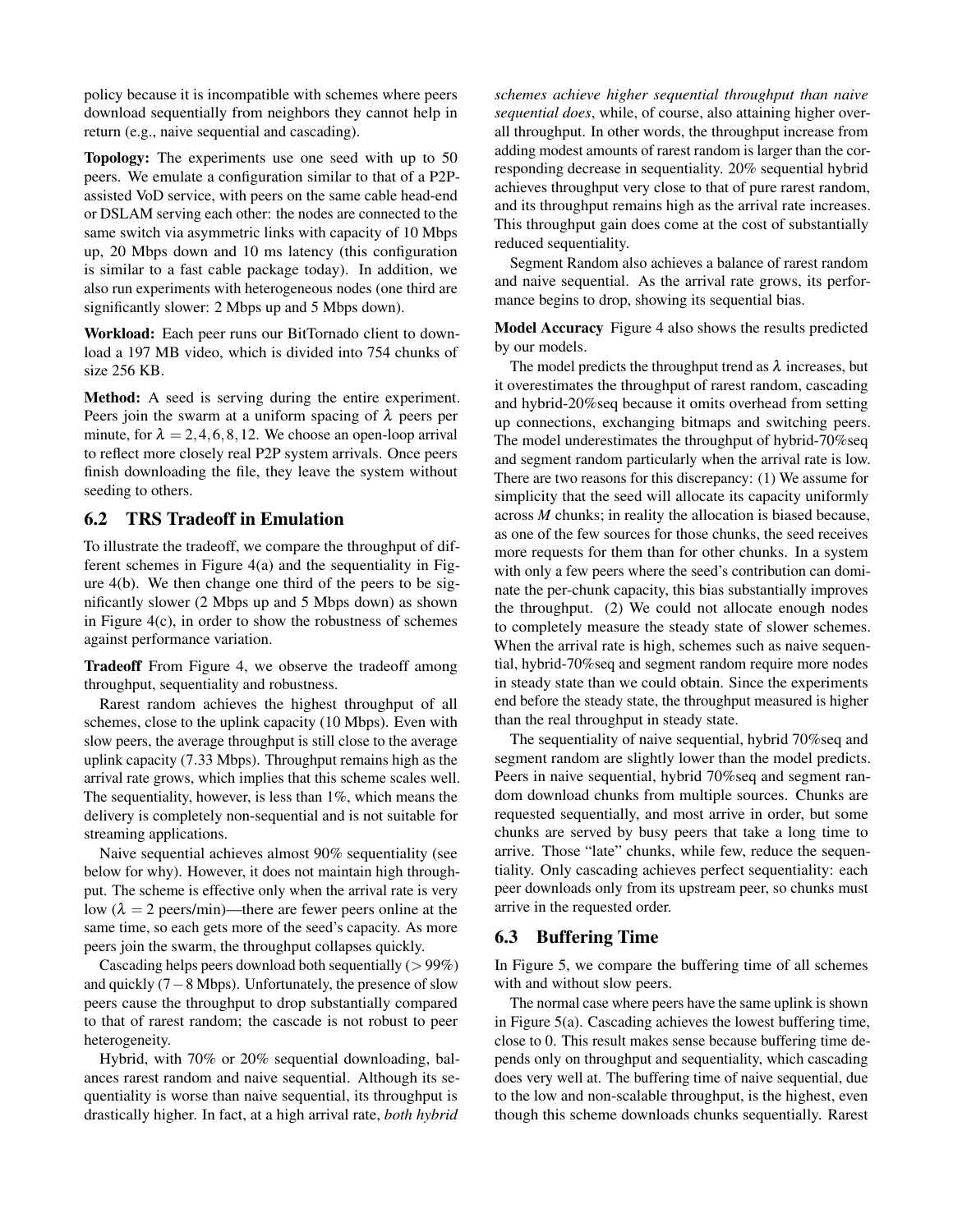policy because it is incompatible with schemes where peers download sequentially from neighbors they cannot help in return (e.g., naive sequential and cascading).

Topology: The experiments use one seed with up to 50 peers. We emulate a configuration similar to that of a P2Passisted VoD service, with peers on the same cable head-end or DSLAM serving each other: the nodes are connected to the same switch via asymmetric links with capacity of 10 Mbps up, 20 Mbps down and 10 ms latency (this configuration is similar to a fast cable package today). In addition, we also run experiments with heterogeneous nodes (one third are significantly slower: 2 Mbps up and 5 Mbps down).

Workload: Each peer runs our BitTornado client to download a 197 MB video, which is divided into 754 chunks of size 256 KB.

Method: A seed is serving during the entire experiment. Peers join the swarm at a uniform spacing of  $\lambda$  peers per minute, for  $\lambda = 2, 4, 6, 8, 12$ . We choose an open-loop arrival to reflect more closely real P2P system arrivals. Once peers finish downloading the file, they leave the system without seeding to others.

## 6.2 TRS Tradeoff in Emulation

To illustrate the tradeoff, we compare the throughput of different schemes in Figure [4\(a\)](#page-10-1) and the sequentiality in Figure [4\(b\).](#page-10-2) We then change one third of the peers to be significantly slower (2 Mbps up and 5 Mbps down) as shown in Figure [4\(c\),](#page-10-3) in order to show the robustness of schemes against performance variation.

Tradeoff From Figure [4,](#page-10-4) we observe the tradeoff among throughput, sequentiality and robustness.

Rarest random achieves the highest throughput of all schemes, close to the uplink capacity (10 Mbps). Even with slow peers, the average throughput is still close to the average uplink capacity (7.33 Mbps). Throughput remains high as the arrival rate grows, which implies that this scheme scales well. The sequentiality, however, is less than 1%, which means the delivery is completely non-sequential and is not suitable for streaming applications.

Naive sequential achieves almost 90% sequentiality (see below for why). However, it does not maintain high throughput. The scheme is effective only when the arrival rate is very low  $(\lambda = 2 \text{ peers/min})$ —there are fewer peers online at the same time, so each gets more of the seed's capacity. As more peers join the swarm, the throughput collapses quickly.

Cascading helps peers download both sequentially  $(> 99\%)$ and quickly (7−8 Mbps). Unfortunately, the presence of slow peers cause the throughput to drop substantially compared to that of rarest random; the cascade is not robust to peer heterogeneity.

Hybrid, with 70% or 20% sequential downloading, balances rarest random and naive sequential. Although its sequentiality is worse than naive sequential, its throughput is drastically higher. In fact, at a high arrival rate, *both hybrid*

*schemes achieve higher sequential throughput than naive sequential does*, while, of course, also attaining higher overall throughput. In other words, the throughput increase from adding modest amounts of rarest random is larger than the corresponding decrease in sequentiality. 20% sequential hybrid achieves throughput very close to that of pure rarest random, and its throughput remains high as the arrival rate increases. This throughput gain does come at the cost of substantially reduced sequentiality.

Segment Random also achieves a balance of rarest random and naive sequential. As the arrival rate grows, its performance begins to drop, showing its sequential bias.

Model Accuracy Figure [4](#page-10-4) also shows the results predicted by our models.

The model predicts the throughput trend as  $\lambda$  increases, but it overestimates the throughput of rarest random, cascading and hybrid-20%seq because it omits overhead from setting up connections, exchanging bitmaps and switching peers. The model underestimates the throughput of hybrid-70%seq and segment random particularly when the arrival rate is low. There are two reasons for this discrepancy: (1) We assume for simplicity that the seed will allocate its capacity uniformly across *M* chunks; in reality the allocation is biased because, as one of the few sources for those chunks, the seed receives more requests for them than for other chunks. In a system with only a few peers where the seed's contribution can dominate the per-chunk capacity, this bias substantially improves the throughput. (2) We could not allocate enough nodes to completely measure the steady state of slower schemes. When the arrival rate is high, schemes such as naive sequential, hybrid-70%seq and segment random require more nodes in steady state than we could obtain. Since the experiments end before the steady state, the throughput measured is higher than the real throughput in steady state.

The sequentiality of naive sequential, hybrid 70%seq and segment random are slightly lower than the model predicts. Peers in naive sequential, hybrid 70%seq and segment random download chunks from multiple sources. Chunks are requested sequentially, and most arrive in order, but some chunks are served by busy peers that take a long time to arrive. Those "late" chunks, while few, reduce the sequentiality. Only cascading achieves perfect sequentiality: each peer downloads only from its upstream peer, so chunks must arrive in the requested order.

# 6.3 Buffering Time

In Figure [5,](#page-10-5) we compare the buffering time of all schemes with and without slow peers.

The normal case where peers have the same uplink is shown in Figure [5\(a\).](#page-10-6) Cascading achieves the lowest buffering time, close to 0. This result makes sense because buffering time depends only on throughput and sequentiality, which cascading does very well at. The buffering time of naive sequential, due to the low and non-scalable throughput, is the highest, even though this scheme downloads chunks sequentially. Rarest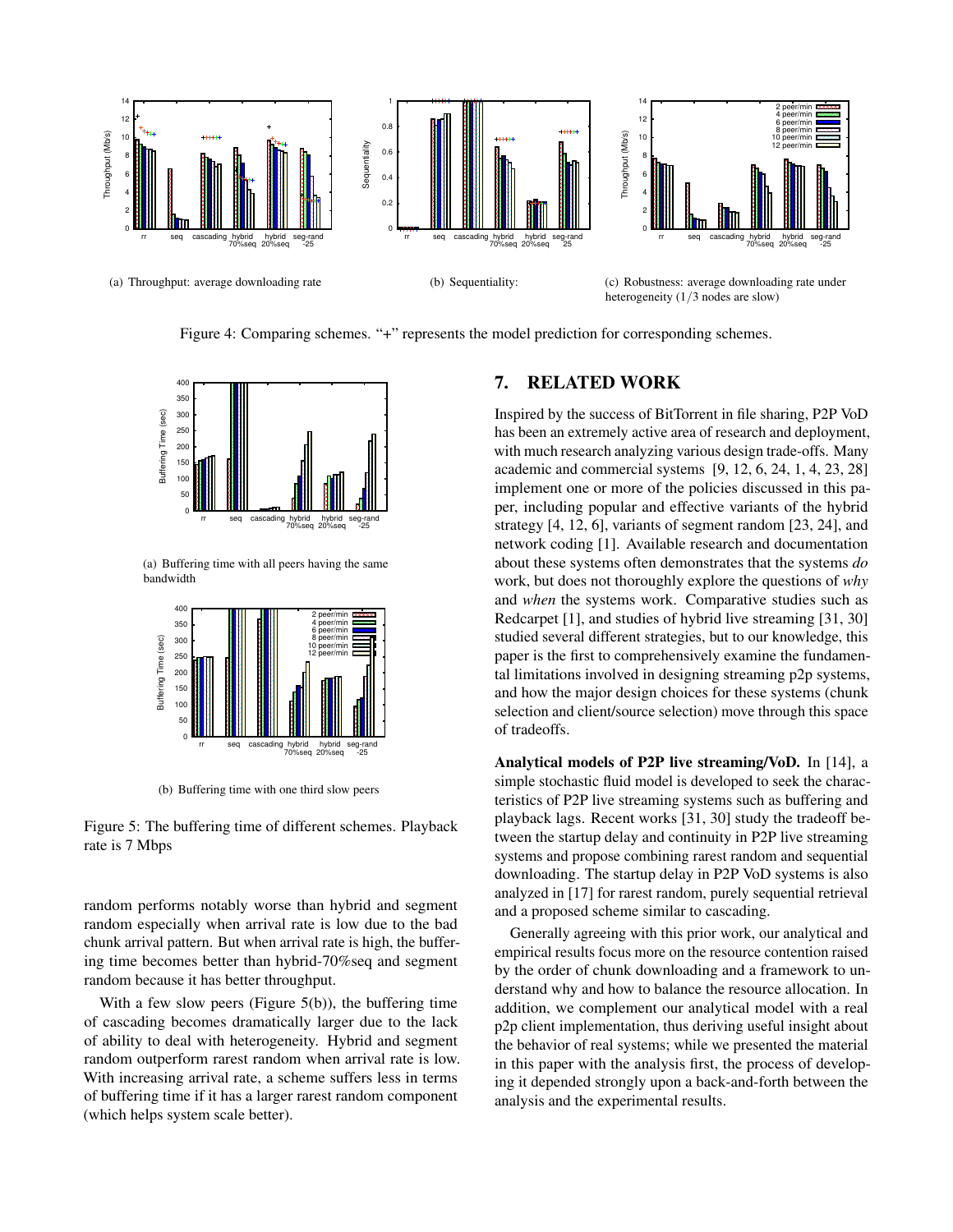<span id="page-10-1"></span>![](_page_10_Figure_0.jpeg)

<span id="page-10-2"></span>Figure 4: Comparing schemes. "+" represents the model prediction for corresponding schemes.

<span id="page-10-6"></span>![](_page_10_Figure_2.jpeg)

(a) Buffering time with all peers having the same bandwidth

![](_page_10_Figure_4.jpeg)

<span id="page-10-7"></span>(b) Buffering time with one third slow peers

Figure 5: The buffering time of different schemes. Playback rate is 7 Mbps

random performs notably worse than hybrid and segment random especially when arrival rate is low due to the bad chunk arrival pattern. But when arrival rate is high, the buffering time becomes better than hybrid-70%seq and segment random because it has better throughput.

With a few slow peers (Figure [5\(b\)\)](#page-10-7), the buffering time of cascading becomes dramatically larger due to the lack of ability to deal with heterogeneity. Hybrid and segment random outperform rarest random when arrival rate is low. With increasing arrival rate, a scheme suffers less in terms of buffering time if it has a larger rarest random component (which helps system scale better).

# <span id="page-10-4"></span><span id="page-10-3"></span><span id="page-10-0"></span>7. RELATED WORK

Inspired by the success of BitTorrent in file sharing, P2P VoD has been an extremely active area of research and deployment, with much research analyzing various design trade-offs. Many academic and commercial systems [\[9,](#page-11-0) [12,](#page-11-1) [6,](#page-11-3) [24,](#page-11-4) [1,](#page-11-6) [4,](#page-11-2) [23,](#page-11-5) [28\]](#page-11-9) implement one or more of the policies discussed in this paper, including popular and effective variants of the hybrid strategy [\[4,](#page-11-2) [12,](#page-11-1) [6\]](#page-11-3), variants of segment random [\[23,](#page-11-5) [24\]](#page-11-4), and network coding [\[1\]](#page-11-6). Available research and documentation about these systems often demonstrates that the systems *do* work, but does not thoroughly explore the questions of *why* and *when* the systems work. Comparative studies such as Redcarpet [\[1\]](#page-11-6), and studies of hybrid live streaming [\[31,](#page-11-26) [30\]](#page-11-27) studied several different strategies, but to our knowledge, this paper is the first to comprehensively examine the fundamental limitations involved in designing streaming p2p systems, and how the major design choices for these systems (chunk selection and client/source selection) move through this space of tradeoffs.

<span id="page-10-5"></span>Analytical models of P2P live streaming/VoD. In [\[14\]](#page-11-28), a simple stochastic fluid model is developed to seek the characteristics of P2P live streaming systems such as buffering and playback lags. Recent works [\[31,](#page-11-26) [30\]](#page-11-27) study the tradeoff between the startup delay and continuity in P2P live streaming systems and propose combining rarest random and sequential downloading. The startup delay in P2P VoD systems is also analyzed in [\[17\]](#page-11-29) for rarest random, purely sequential retrieval and a proposed scheme similar to cascading.

Generally agreeing with this prior work, our analytical and empirical results focus more on the resource contention raised by the order of chunk downloading and a framework to understand why and how to balance the resource allocation. In addition, we complement our analytical model with a real p2p client implementation, thus deriving useful insight about the behavior of real systems; while we presented the material in this paper with the analysis first, the process of developing it depended strongly upon a back-and-forth between the analysis and the experimental results.